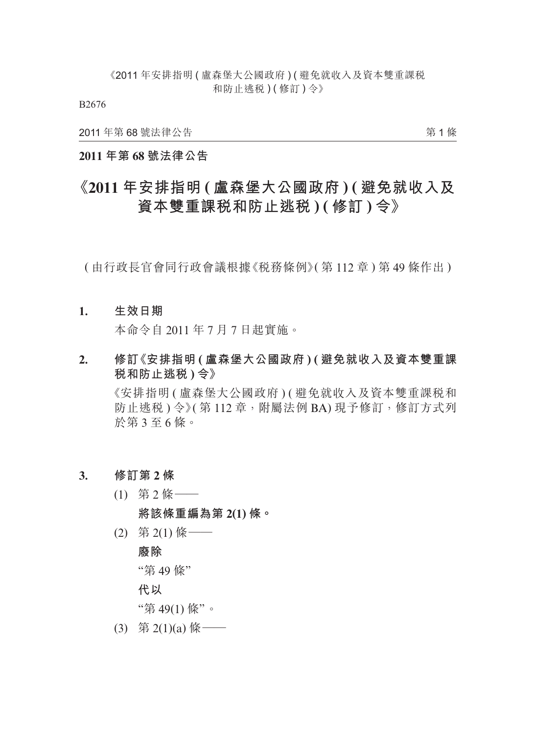B2676

2011 年第 68 號法律公告

第 1 條

### **2011 年第 68 號法律公告**

# **《2011 年安排指明 ( 盧森堡大公國政府 ) ( 避免就收入及 資本雙重課稅和防止逃稅 ) ( 修訂 ) 令》**

( 由行政長官會同行政會議根據《稅務條例》( 第 112 章 ) 第 49 條作出 )

#### **1. 生效日期**

本命令自 2011 年 7 月 7 日起實施。

**2. 修訂《安排指明 ( 盧森堡大公國政府 ) ( 避免就收入及資本雙重課 稅和防止逃稅 ) 令》**

《安排指明 ( 盧森堡大公國政府 ) ( 避免就收入及資本雙重課稅和 防止逃税) 令》(第112章,附屬法例 BA) 現予修訂, 修訂方式列 於第 3 至 6 條。

- **3. 修訂第 2 條**
	- (1) 第 2 條——
		- **將該條重編為第 2(1) 條。**
	- $(2)$  第 2(1) 條 ——

# **廢除**

"第 49 條"

**代以**

"第 49(1) 條"。

(3) 第 2(1)(a) 條 ——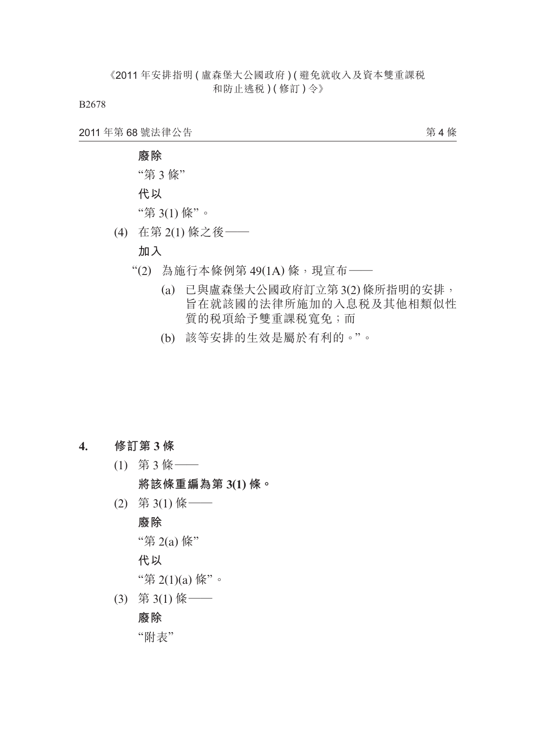B2678

2011 年第 68 號法律公告

第 4 條

"第 3 條"

**代以**

"第 3(1) 條"。

(4) 在第 2(1) 條之後——

### **加入**

- $"$ (2) 為施行本條例第 49(1A)條,現宣布——
	- (a) 已與盧森堡大公國政府訂立第 3(2) 條所指明的安排, 旨在就該國的法律所施加的入息稅及其他相類似性 質的稅項給予雙重課稅寬免;而
	- (b) 該等安排的生效是屬於有利的。"。

### **4. 修訂第 3 條**

(1) 第 3 條——

**將該條重編為第 3(1) 條。**

(2) 第 3(1) 條——

**廢除**

"第 2(a) 條"

**代以**

"第 2(1)(a) 條"。

(3) 第 3(1) 條——

### **廢除**

"附表"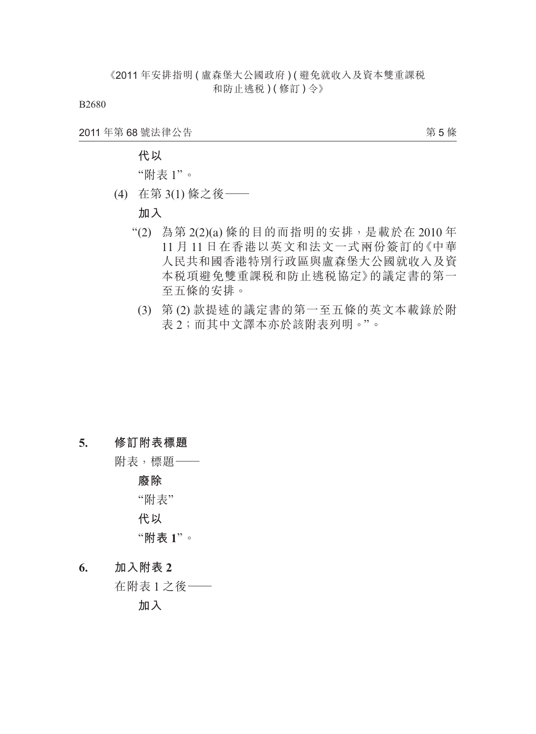B2680

2011 年第 68 號法律公告

第 5 條

### **代以**

"附表 1"。

(4) 在第 3(1) 條之後——

### **加入**

- "(2) 為第 2(2)(a) 條的目的而指明的安排,是載於在 2010 年 11 月 11 日在香港以英文和法文一式兩份簽訂的《中華 人民共和國香港特別行政區與盧森堡大公國就收入及資 本稅項避免雙重課稅和防止逃稅協定》的議定書的第一 至五條的安排。
	- (3) 第 (2) 款提述的議定書的第一至五條的英文本載錄於附 表 2;而其中文譯本亦於該附表列明。"。

#### **5. 修訂附表標題**

附表,標題——

**廢除**

"附表"

**代以**

### "**附表 1**"。

**6. 加入附表 2**

在附表 1 之後——

**加入**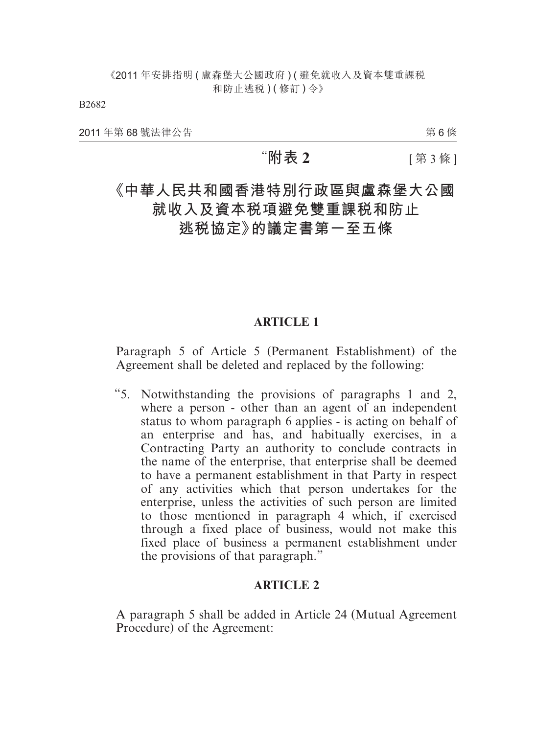B2682

2011 年第 68 號法律公告

第 6 條

## "**附表 2** [ 第 3 條 ]

# **《中華人民共和國香港特別行政區與盧森堡大公國 就收入及資本稅項避免雙重課稅和防止**

# **逃稅協定》的議定書第一至五條**

### **ARTICLE 1**

Paragraph 5 of Article 5 (Permanent Establishment) of the Agreement shall be deleted and replaced by the following:

"5. Notwithstanding the provisions of paragraphs 1 and 2, where a person - other than an agent of an independent status to whom paragraph 6 applies - is acting on behalf of an enterprise and has, and habitually exercises, in a Contracting Party an authority to conclude contracts in the name of the enterprise, that enterprise shall be deemed to have a permanent establishment in that Party in respect of any activities which that person undertakes for the enterprise, unless the activities of such person are limited to those mentioned in paragraph 4 which, if exercised through a fixed place of business, would not make this fixed place of business a permanent establishment under the provisions of that paragraph."

### **ARTICLE 2**

A paragraph 5 shall be added in Article 24 (Mutual Agreement Procedure) of the Agreement: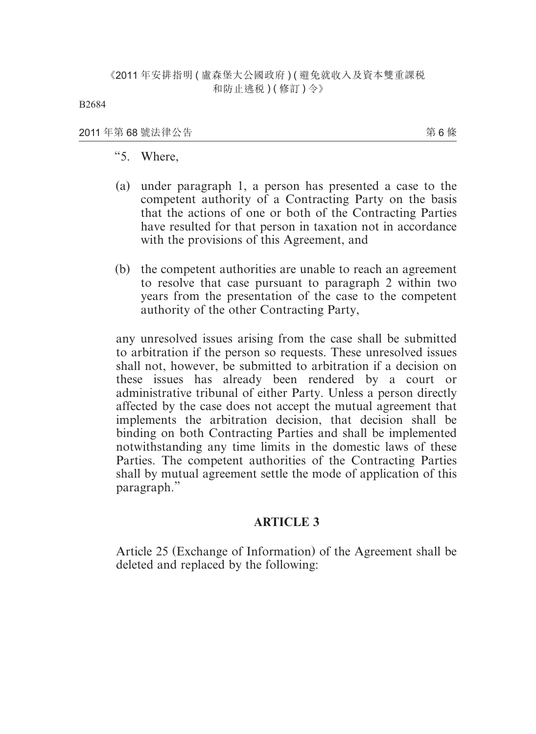#### 2011 年第 68 號法律公告

第 6 條

- "5. Where,
- (a) under paragraph 1, a person has presented a case to the competent authority of a Contracting Party on the basis that the actions of one or both of the Contracting Parties have resulted for that person in taxation not in accordance with the provisions of this Agreement, and
- (b) the competent authorities are unable to reach an agreement to resolve that case pursuant to paragraph 2 within two years from the presentation of the case to the competent authority of the other Contracting Party,

any unresolved issues arising from the case shall be submitted to arbitration if the person so requests. These unresolved issues shall not, however, be submitted to arbitration if a decision on these issues has already been rendered by a court or administrative tribunal of either Party. Unless a person directly affected by the case does not accept the mutual agreement that implements the arbitration decision, that decision shall be binding on both Contracting Parties and shall be implemented notwithstanding any time limits in the domestic laws of these Parties. The competent authorities of the Contracting Parties shall by mutual agreement settle the mode of application of this paragraph."

### **ARTICLE 3**

Article 25 (Exchange of Information) of the Agreement shall be deleted and replaced by the following: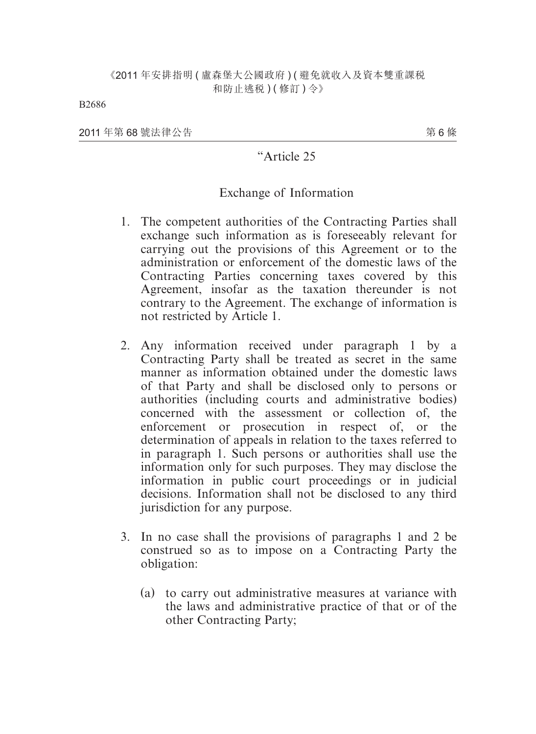2011 年第 68 號法律公告

第 6 條

### "Article 25

### Exchange of Information

- 1. The competent authorities of the Contracting Parties shall exchange such information as is foreseeably relevant for carrying out the provisions of this Agreement or to the administration or enforcement of the domestic laws of the Contracting Parties concerning taxes covered by this Agreement, insofar as the taxation thereunder is not contrary to the Agreement. The exchange of information is not restricted by Article 1.
- 2. Any information received under paragraph 1 by a Contracting Party shall be treated as secret in the same manner as information obtained under the domestic laws of that Party and shall be disclosed only to persons or authorities (including courts and administrative bodies) concerned with the assessment or collection of, the enforcement or prosecution in respect of, or the determination of appeals in relation to the taxes referred to in paragraph 1. Such persons or authorities shall use the information only for such purposes. They may disclose the information in public court proceedings or in judicial decisions. Information shall not be disclosed to any third jurisdiction for any purpose.
- 3. In no case shall the provisions of paragraphs 1 and 2 be construed so as to impose on a Contracting Party the obligation:
	- (a) to carry out administrative measures at variance with the laws and administrative practice of that or of the other Contracting Party;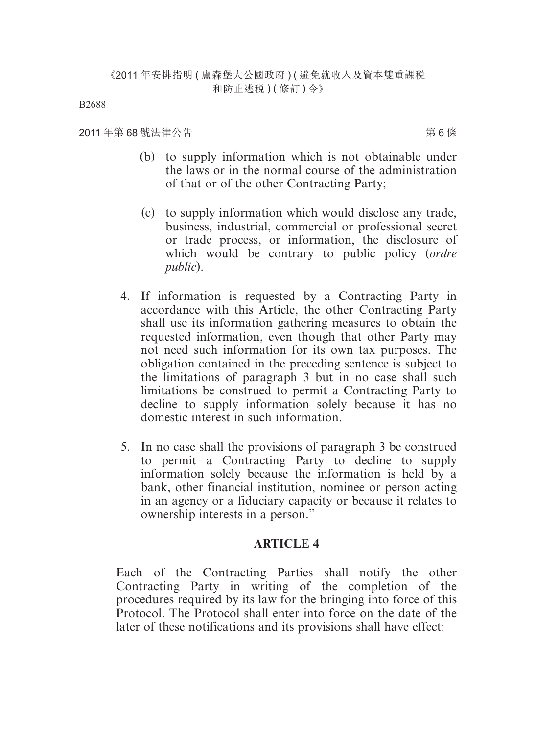2011 年第 68 號法律公告

第 6 條

- (b) to supply information which is not obtainable under the laws or in the normal course of the administration of that or of the other Contracting Party;
- (c) to supply information which would disclose any trade, business, industrial, commercial or professional secret or trade process, or information, the disclosure of which would be contrary to public policy (*ordre public*).
- 4. If information is requested by a Contracting Party in accordance with this Article, the other Contracting Party shall use its information gathering measures to obtain the requested information, even though that other Party may not need such information for its own tax purposes. The obligation contained in the preceding sentence is subject to the limitations of paragraph 3 but in no case shall such limitations be construed to permit a Contracting Party to decline to supply information solely because it has no domestic interest in such information.
- 5. In no case shall the provisions of paragraph 3 be construed to permit a Contracting Party to decline to supply information solely because the information is held by a bank, other financial institution, nominee or person acting in an agency or a fiduciary capacity or because it relates to ownership interests in a person."

### **ARTICLE 4**

Each of the Contracting Parties shall notify the other Contracting Party in writing of the completion of the procedures required by its law for the bringing into force of this Protocol. The Protocol shall enter into force on the date of the later of these notifications and its provisions shall have effect: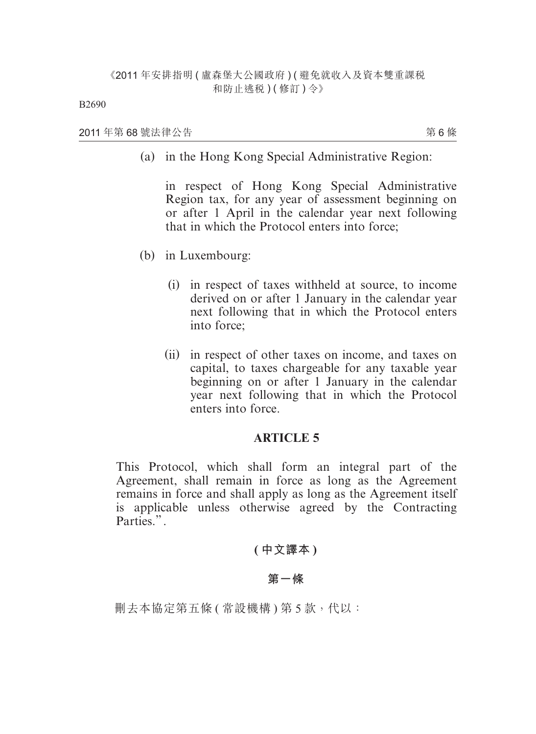2011 年第 68 號法律公告

第 6 條

(a) in the Hong Kong Special Administrative Region:

in respect of Hong Kong Special Administrative Region tax, for any year of assessment beginning on or after 1 April in the calendar year next following that in which the Protocol enters into force;

- (b) in Luxembourg:
	- (i) in respect of taxes withheld at source, to income derived on or after 1 January in the calendar year next following that in which the Protocol enters into force;
	- (ii) in respect of other taxes on income, and taxes on capital, to taxes chargeable for any taxable year beginning on or after 1 January in the calendar year next following that in which the Protocol enters into force.

### **ARTICLE 5**

This Protocol, which shall form an integral part of the Agreement, shall remain in force as long as the Agreement remains in force and shall apply as long as the Agreement itself is applicable unless otherwise agreed by the Contracting Parties.".

**( 中文譯本 )**

### **第一條**

刪去本協定第五條 ( 常設機構 ) 第 5 款, 代以: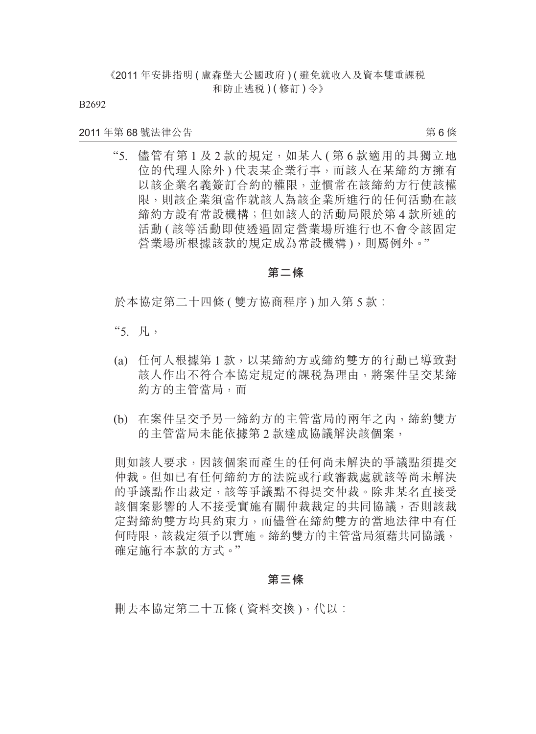B2692

#### 2011 年第 68 號法律公告

第 6 條

"5. 儘管有第 1 及 2 款的規定,如某人 ( 第 6 款適用的具獨立地 位的代理人除外 ) 代表某企業行事,而該人在某締約方擁有 以該企業名義簽訂合約的權限,並慣常在該締約方行使該權 限,則該企業須當作就該人為該企業所進行的任何活動在該 締約方設有常設機構;但如該人的活動局限於第 4 款所述的 活動 ( 該等活動即使透過固定營業場所進行也不會令該固定 營業場所根據該款的規定成為常設機構),則屬例外。"

#### **第二條**

於本協定第二十四條 ( 雙方協商程序 ) 加入第 5 款:

- "5. 凡,
- (a) 任何人根據第 1 款,以某締約方或締約雙方的行動已導致對 該人作出不符合本協定規定的課稅為理由,將案件呈交某締 約方的主管當局,而
- (b) 在案件呈交予另一締約方的主管當局的兩年之內,締約雙方 的主管當局未能依據第 2 款達成協議解決該個案,

則如該人要求,因該個案而產生的任何尚未解決的爭議點須提交 仲裁。但如已有任何締約方的法院或行政審裁處就該等尚未解決 的爭議點作出裁定,該等爭議點不得提交仲裁。除非某名直接受 該個案影響的人不接受實施有關仲裁裁定的共同協議,否則該裁 定對締約雙方均具約束力,而儘管在締約雙方的當地法律中有任 何時限,該裁定須予以實施。締約雙方的主管當局須藉共同協議, 確定施行本款的方式。"

#### **第三條**

刪去本協定第二十五條 ( 資料交換 ), 代以: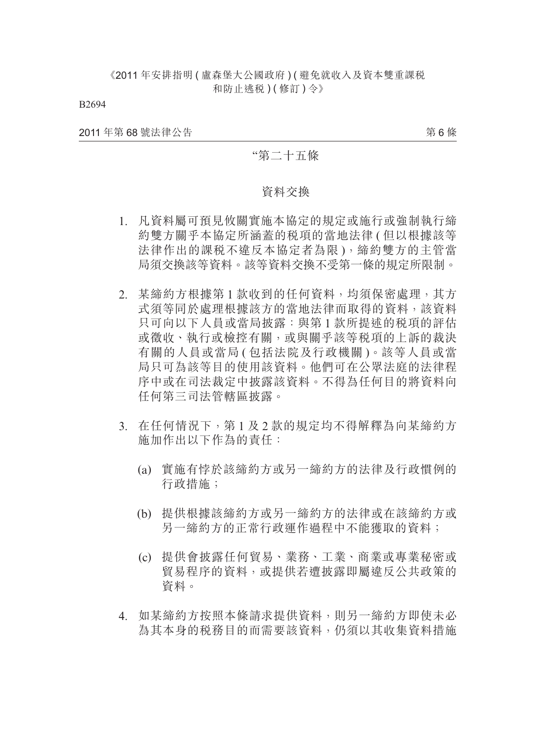B2694

2011 年第 68 號法律公告

第 6 條

### "第二十五條

#### 資料交換

- 1. 凡資料屬可預見攸關實施本協定的規定或施行或強制執行締 約雙方關乎本協定所涵蓋的稅項的當地法律 ( 但以根據該等 法律作出的課税不違反本協定者為限),締約雙方的主管當 局須交換該等資料。該等資料交換不受第一條的規定所限制。
- 2. 某締約方根據第 1 款收到的任何資料,均須保密處理,其方 式須等同於處理根據該方的當地法律而取得的資料,該資料 只可向以下人員或當局披露:與第 1 款所提述的稅項的評估 或徵收、執行或檢控有關,或與關乎該等稅項的上訴的裁決 有關的人員或當局 ( 包括法院及行政機關 )。該等人員或當 局只可為該等目的使用該資料。他們可在公眾法庭的法律程 序中或在司法裁定中披露該資料。不得為任何目的將資料向 任何第三司法管轄區披露。
- 3. 在任何情況下,第 1 及 2 款的規定均不得解釋為向某締約方 施加作出以下作為的責任:
	- (a) 實施有悖於該締約方或另一締約方的法律及行政慣例的 行政措施;
	- (b) 提供根據該締約方或另一締約方的法律或在該締約方或 另一締約方的正常行政運作過程中不能獲取的資料;
	- (c) 提供會披露任何貿易、業務、工業、商業或專業秘密或 貿易程序的資料,或提供若遭披露即屬違反公共政策的 資料。
- 4. 如某締約方按照本條請求提供資料,則另一締約方即使未必 為其本身的稅務目的而需要該資料,仍須以其收集資料措施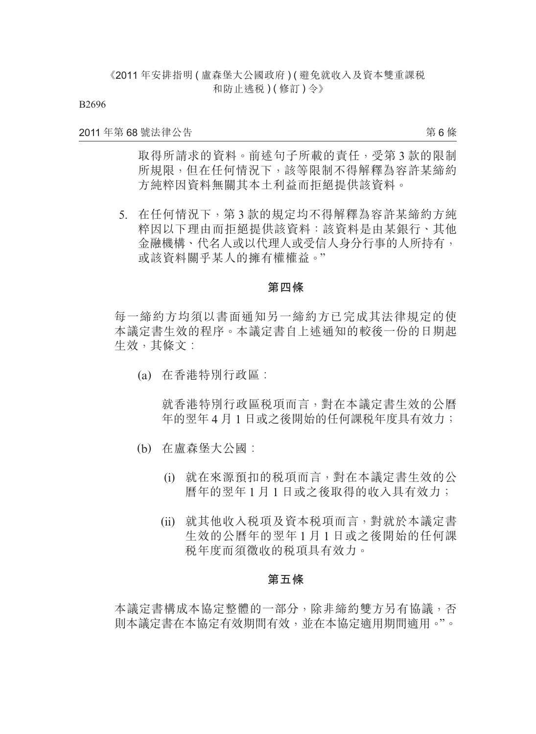B2696

#### 2011 年第 68 號法律公告

第 6 條

取得所請求的資料。前述句子所載的責任,受第3款的限制 所規限,但在任何情況下,該等限制不得解釋為容許某締約 方純粹因資料無關其本土利益而拒絕提供該資料。

 5. 在任何情況下,第 3 款的規定均不得解釋為容許某締約方純 粹因以下理由而拒絕提供該資料:該資料是由某銀行、其他 金融機構、代名人或以代理人或受信人身分行事的人所持有, 或該資料關乎某人的擁有權權益。"

#### **第四條**

每一締約方均須以書面通知另一締約方已完成其法律規定的使 本議定書生效的程序。本議定書自上述通知的較後一份的日期起 生效,其條文:

(a) 在香港特別行政區︰

就香港特別行政區稅項而言,對在本議定書生效的公曆 年的翌年 4 月 1 日或之後開始的任何課稅年度具有效力;

- (b) 在盧森堡大公國︰
	- (i) 就在來源預扣的稅項而言,對在本議定書生效的公 曆年的翌年 1 月 1 日或之後取得的收入具有效力;
	- (ii) 就其他收入稅項及資本稅項而言,對就於本議定書 生效的公曆年的翌年 1 月 1 日或之後開始的任何課 稅年度而須徵收的稅項具有效力。

#### **第五條**

本議定書構成本協定整體的一部分,除非締約雙方另有協議,否 則本議定書在本協定有效期間有效,並在本協定適用期間適用。"。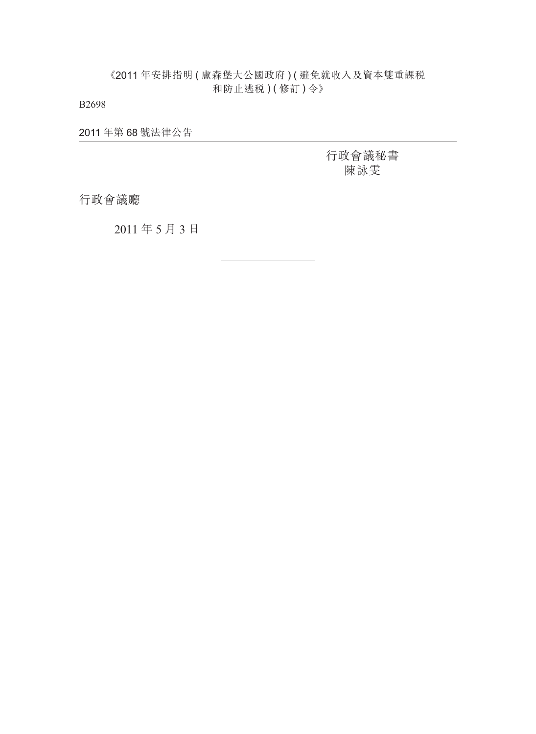B2698

2011 年第 68 號法律公告

行政會議秘書 陳詠雯

行政會議廳

2011 年 5 月 3 日